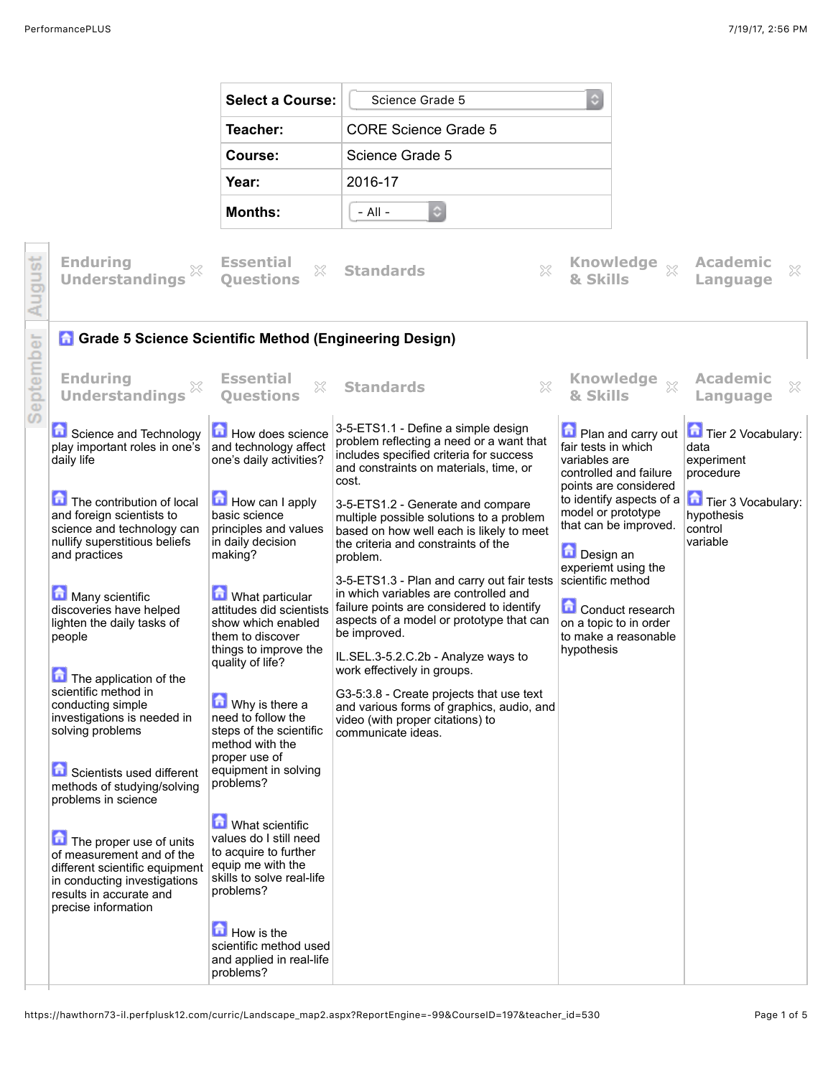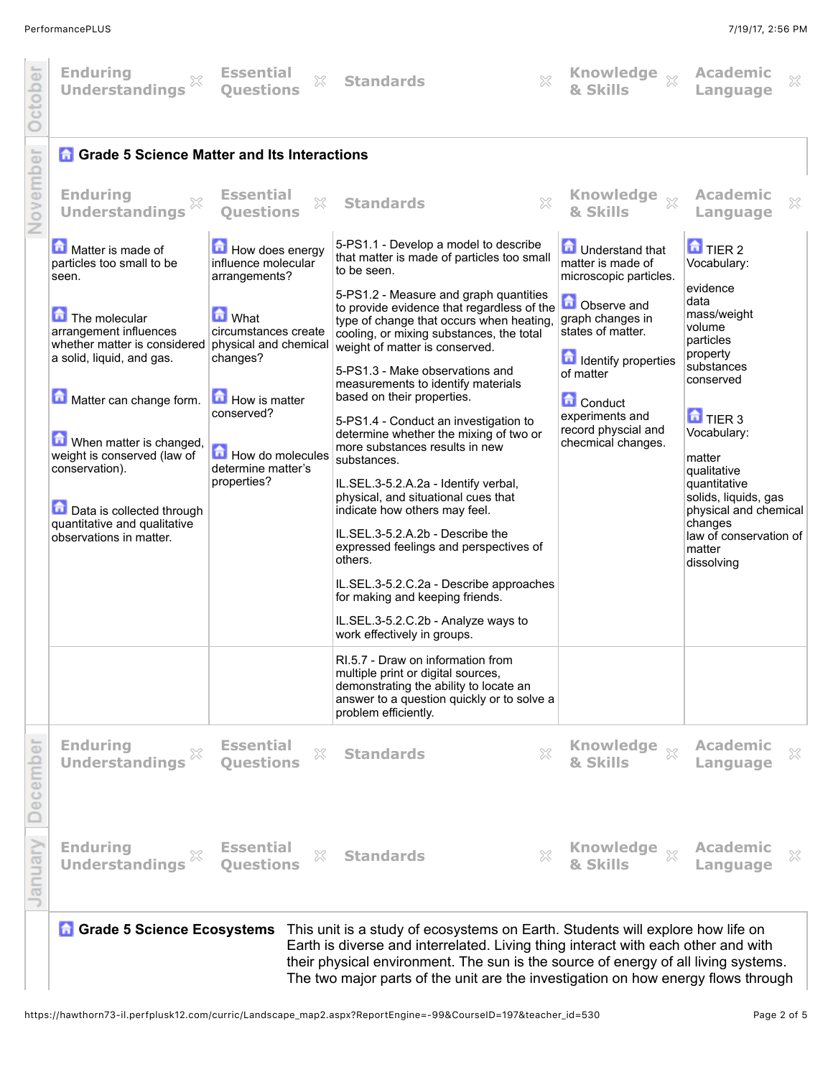| <b>Enduring</b><br>X<br><b>Understandings</b>                                                                                                                                                                                                                                                                                                                  | <b>Essential</b><br>X<br><b>Ouestions</b>                                                                                                                                                                                     | X<br><b>Standards</b>                                                                                                                                                                                                                                                                                                                                                                                                                                                                                                                                                                                                                                                                                                                                                                                                                                                                                                        | Knowledge xx<br>& Skills                                                                                                                                                                                                                                        | Academic<br>X<br>Language                                                                                                                                                                                                                                                                                                                    |
|----------------------------------------------------------------------------------------------------------------------------------------------------------------------------------------------------------------------------------------------------------------------------------------------------------------------------------------------------------------|-------------------------------------------------------------------------------------------------------------------------------------------------------------------------------------------------------------------------------|------------------------------------------------------------------------------------------------------------------------------------------------------------------------------------------------------------------------------------------------------------------------------------------------------------------------------------------------------------------------------------------------------------------------------------------------------------------------------------------------------------------------------------------------------------------------------------------------------------------------------------------------------------------------------------------------------------------------------------------------------------------------------------------------------------------------------------------------------------------------------------------------------------------------------|-----------------------------------------------------------------------------------------------------------------------------------------------------------------------------------------------------------------------------------------------------------------|----------------------------------------------------------------------------------------------------------------------------------------------------------------------------------------------------------------------------------------------------------------------------------------------------------------------------------------------|
| <b>Grade 5 Science Matter and Its Interactions</b><br><b>Enduring</b><br>X<br><b>Understandings</b>                                                                                                                                                                                                                                                            | <b>Essential</b><br>X<br><b>Ouestions</b>                                                                                                                                                                                     | ×<br><b>Standards</b>                                                                                                                                                                                                                                                                                                                                                                                                                                                                                                                                                                                                                                                                                                                                                                                                                                                                                                        | Knowledge xx<br>& Skills                                                                                                                                                                                                                                        | <b>Academic</b><br>X<br>Language                                                                                                                                                                                                                                                                                                             |
| Matter is made of<br>particles too small to be<br>seen.<br>The molecular<br>arrangement influences<br>whether matter is considered<br>a solid, liquid, and gas.<br>Matter can change form.<br>When matter is changed,<br>weight is conserved (law of<br>conservation).<br>Data is collected through<br>quantitative and qualitative<br>observations in matter. | How does energy<br>influence molecular<br>arrangements?<br><b>M</b> What<br>circumstances create<br>physical and chemical<br>changes?<br>How is matter<br>conserved?<br>How do molecules<br>determine matter's<br>properties? | 5-PS1.1 - Develop a model to describe<br>that matter is made of particles too small<br>to be seen.<br>5-PS1.2 - Measure and graph quantities<br>to provide evidence that regardless of the<br>type of change that occurs when heating,<br>cooling, or mixing substances, the total<br>weight of matter is conserved.<br>5-PS1.3 - Make observations and<br>measurements to identify materials<br>based on their properties.<br>5-PS1.4 - Conduct an investigation to<br>determine whether the mixing of two or<br>more substances results in new<br>substances.<br>IL.SEL.3-5.2.A.2a - Identify verbal,<br>physical, and situational cues that<br>indicate how others may feel.<br>IL.SEL.3-5.2.A.2b - Describe the<br>expressed feelings and perspectives of<br>others.<br>IL.SEL.3-5.2.C.2a - Describe approaches<br>for making and keeping friends.<br>IL.SEL.3-5.2.C.2b - Analyze ways to<br>work effectively in groups. | <b>D</b> Understand that<br>matter is made of<br>microscopic particles.<br>Observe and<br>graph changes in<br>states of matter.<br><b>In Identify properties</b><br>of matter<br><b>Conduct</b><br>experiments and<br>record physcial and<br>checmical changes. | $\mathbf{\hat{a}}$ TIER 2<br>Vocabulary:<br>evidence<br>data<br>mass/weight<br>volume<br>particles<br>property<br>substances<br>conserved<br>$\mathbf{\hat{a}}$ TIER 3<br>Vocabulary:<br>matter<br>qualitative<br>quantitative<br>solids, liquids, gas<br>physical and chemical<br>changes<br>law of conservation of<br>matter<br>dissolving |
|                                                                                                                                                                                                                                                                                                                                                                |                                                                                                                                                                                                                               | RI.5.7 - Draw on information from<br>multiple print or digital sources,<br>demonstrating the ability to locate an<br>answer to a question quickly or to solve a<br>problem efficiently.                                                                                                                                                                                                                                                                                                                                                                                                                                                                                                                                                                                                                                                                                                                                      |                                                                                                                                                                                                                                                                 |                                                                                                                                                                                                                                                                                                                                              |
| <b>Enduring</b><br><b>Understandings</b>                                                                                                                                                                                                                                                                                                                       | <b>Essential</b><br>X<br><b>Ouestions</b>                                                                                                                                                                                     | 33<br><b>Standards</b>                                                                                                                                                                                                                                                                                                                                                                                                                                                                                                                                                                                                                                                                                                                                                                                                                                                                                                       | Knowledge xx<br>& Skills                                                                                                                                                                                                                                        | <b>Academic</b><br>×<br>Language                                                                                                                                                                                                                                                                                                             |
| <b>Enduring</b><br><b>Understandings</b>                                                                                                                                                                                                                                                                                                                       | <b>Essential</b><br>X<br><b>Ouestions</b>                                                                                                                                                                                     | $\mathbb{X}$<br><b>Standards</b>                                                                                                                                                                                                                                                                                                                                                                                                                                                                                                                                                                                                                                                                                                                                                                                                                                                                                             | Knowledge xx<br>& Skills                                                                                                                                                                                                                                        | <b>Academic</b><br>X<br>Language                                                                                                                                                                                                                                                                                                             |
|                                                                                                                                                                                                                                                                                                                                                                |                                                                                                                                                                                                                               |                                                                                                                                                                                                                                                                                                                                                                                                                                                                                                                                                                                                                                                                                                                                                                                                                                                                                                                              | Chidante vill ovalore hour life                                                                                                                                                                                                                                 |                                                                                                                                                                                                                                                                                                                                              |

**Grade 5 Science Ecosystems** This unit is a study of ecosystems on Earth. Students will explore how life on Earth is diverse and interrelated. Living thing interact with each other and with their physical environment. The sun is the source of energy of all living systems. The two major parts of the unit are the investigation on how energy flows through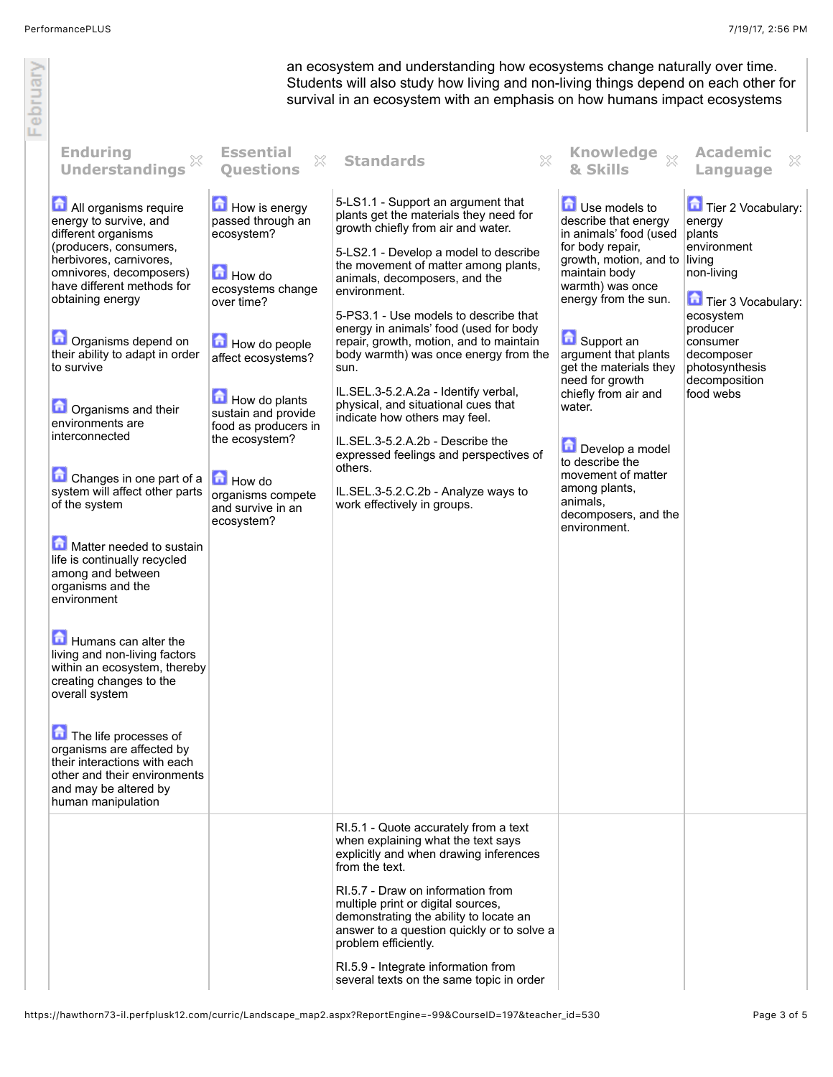February

an ecosystem and understanding how ecosystems change naturally over time. Students will also study how living and non-living things depend on each other for survival in an ecosystem with an emphasis on how humans impact ecosystems

| <b>Enduring</b><br>×<br><b>Understandings</b>                                                                                                                                                                                                                                                                                                                                                                                                                                                                                                                                                                                                                                                                                                 | <b>Essential</b><br>X<br><b>Ouestions</b>                                                                                                                                                                                                                                                              | X<br><b>Standards</b>                                                                                                                                                                                                                                                                                                                                                                                                                                                                                                                                                                                                                                                                                              | <b>Knowledge</b><br>$\chi$<br>& Skills                                                                                                                                                                                                                                                                                                                                                                                           | <b>Academic</b><br>X<br>Language                                                                                                                                                                       |
|-----------------------------------------------------------------------------------------------------------------------------------------------------------------------------------------------------------------------------------------------------------------------------------------------------------------------------------------------------------------------------------------------------------------------------------------------------------------------------------------------------------------------------------------------------------------------------------------------------------------------------------------------------------------------------------------------------------------------------------------------|--------------------------------------------------------------------------------------------------------------------------------------------------------------------------------------------------------------------------------------------------------------------------------------------------------|--------------------------------------------------------------------------------------------------------------------------------------------------------------------------------------------------------------------------------------------------------------------------------------------------------------------------------------------------------------------------------------------------------------------------------------------------------------------------------------------------------------------------------------------------------------------------------------------------------------------------------------------------------------------------------------------------------------------|----------------------------------------------------------------------------------------------------------------------------------------------------------------------------------------------------------------------------------------------------------------------------------------------------------------------------------------------------------------------------------------------------------------------------------|--------------------------------------------------------------------------------------------------------------------------------------------------------------------------------------------------------|
| All organisms require<br>energy to survive, and<br>different organisms<br>(producers, consumers,<br>herbivores, carnivores,<br>omnivores, decomposers)<br>have different methods for<br>obtaining energy<br>Organisms depend on<br>their ability to adapt in order<br>to survive<br>Organisms and their<br>environments are<br>interconnected<br>Changes in one part of a<br>system will affect other parts<br>of the system<br>Matter needed to sustain<br>life is continually recycled<br>among and between<br>organisms and the<br>environment<br>Humans can alter the<br>living and non-living factors<br>within an ecosystem, thereby<br>creating changes to the<br>overall system<br>The life processes of<br>organisms are affected by | How is energy<br>passed through an<br>ecosystem?<br><b>How do</b><br>ecosystems change<br>over time?<br>How do people<br>affect ecosystems?<br>How do plants<br>sustain and provide<br>food as producers in<br>the ecosystem?<br><b>How do</b><br>organisms compete<br>and survive in an<br>ecosystem? | 5-LS1.1 - Support an argument that<br>plants get the materials they need for<br>growth chiefly from air and water.<br>5-LS2.1 - Develop a model to describe<br>the movement of matter among plants,<br>animals, decomposers, and the<br>environment.<br>5-PS3.1 - Use models to describe that<br>energy in animals' food (used for body<br>repair, growth, motion, and to maintain<br>body warmth) was once energy from the<br>sun.<br>IL.SEL.3-5.2.A.2a - Identify verbal,<br>physical, and situational cues that<br>indicate how others may feel.<br>IL.SEL.3-5.2.A.2b - Describe the<br>expressed feelings and perspectives of<br>others.<br>IL.SEL.3-5.2.C.2b - Analyze ways to<br>work effectively in groups. | Use models to<br>describe that energy<br>in animals' food (used<br>for body repair,<br>growth, motion, and to<br>maintain body<br>warmth) was once<br>energy from the sun.<br>Support an<br>argument that plants<br>get the materials they<br>need for growth<br>chiefly from air and<br>water.<br>Develop a model<br>to describe the<br>movement of matter<br>among plants,<br>animals,<br>decomposers, and the<br>environment. | Tier 2 Vocabulary:<br>energy<br>plants<br>environment<br>living<br>non-living<br>Tier 3 Vocabulary:<br>ecosystem<br>producer<br>consumer<br>decomposer<br>photosynthesis<br>decomposition<br>food webs |
| their interactions with each<br>other and their environments<br>and may be altered by<br>human manipulation                                                                                                                                                                                                                                                                                                                                                                                                                                                                                                                                                                                                                                   |                                                                                                                                                                                                                                                                                                        |                                                                                                                                                                                                                                                                                                                                                                                                                                                                                                                                                                                                                                                                                                                    |                                                                                                                                                                                                                                                                                                                                                                                                                                  |                                                                                                                                                                                                        |
|                                                                                                                                                                                                                                                                                                                                                                                                                                                                                                                                                                                                                                                                                                                                               |                                                                                                                                                                                                                                                                                                        | RI.5.1 - Quote accurately from a text<br>when explaining what the text says<br>explicitly and when drawing inferences<br>from the text.<br>RI.5.7 - Draw on information from<br>multiple print or digital sources,<br>demonstrating the ability to locate an<br>answer to a question quickly or to solve a<br>problem efficiently.<br>RI.5.9 - Integrate information from<br>several texts on the same topic in order                                                                                                                                                                                                                                                                                              |                                                                                                                                                                                                                                                                                                                                                                                                                                  |                                                                                                                                                                                                        |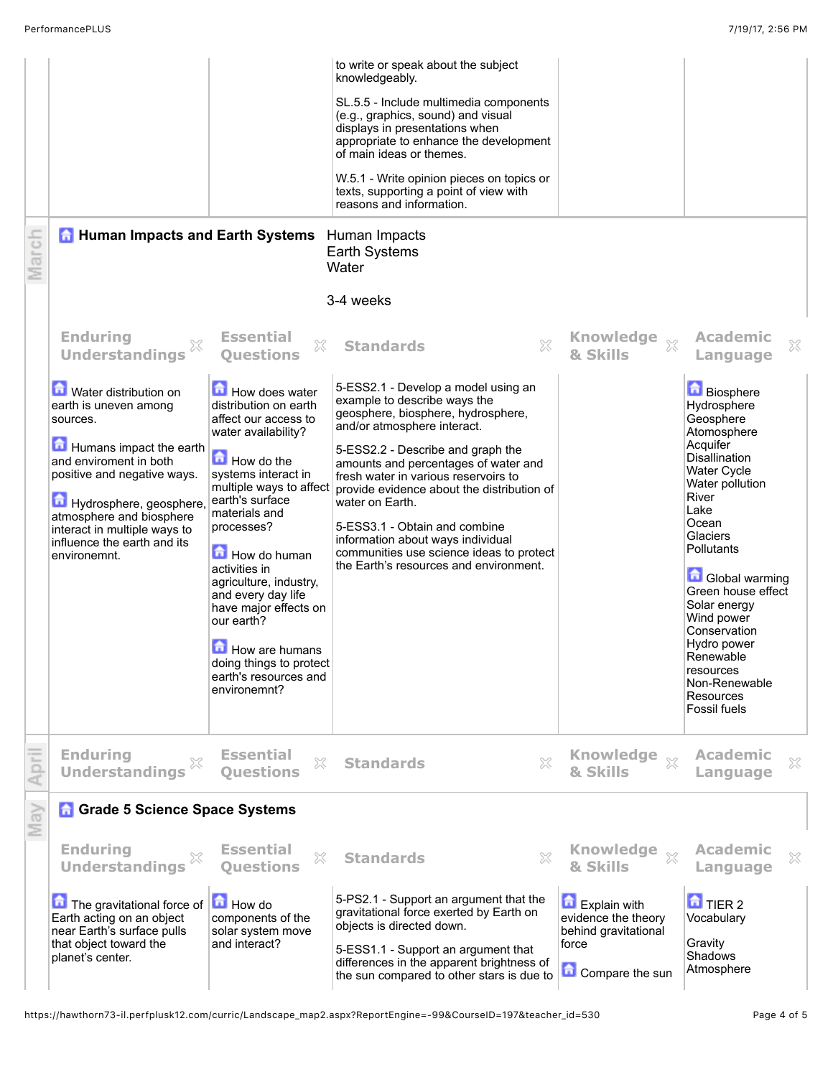|       | <b>A</b> Human Impacts and Earth Systems                                                                                                                                                                                                                                                      |                                                                                                                                                                                                                                                                                                                                                                                                                        | to write or speak about the subject<br>knowledgeably.<br>SL.5.5 - Include multimedia components<br>(e.g., graphics, sound) and visual<br>displays in presentations when<br>appropriate to enhance the development<br>of main ideas or themes.<br>W.5.1 - Write opinion pieces on topics or<br>texts, supporting a point of view with<br>reasons and information.<br>Human Impacts                                                                                                          |                                                                               |                                                                                                                                                                                                                                                                                                                                                                           |
|-------|-----------------------------------------------------------------------------------------------------------------------------------------------------------------------------------------------------------------------------------------------------------------------------------------------|------------------------------------------------------------------------------------------------------------------------------------------------------------------------------------------------------------------------------------------------------------------------------------------------------------------------------------------------------------------------------------------------------------------------|--------------------------------------------------------------------------------------------------------------------------------------------------------------------------------------------------------------------------------------------------------------------------------------------------------------------------------------------------------------------------------------------------------------------------------------------------------------------------------------------|-------------------------------------------------------------------------------|---------------------------------------------------------------------------------------------------------------------------------------------------------------------------------------------------------------------------------------------------------------------------------------------------------------------------------------------------------------------------|
| March |                                                                                                                                                                                                                                                                                               |                                                                                                                                                                                                                                                                                                                                                                                                                        | Earth Systems<br>Water                                                                                                                                                                                                                                                                                                                                                                                                                                                                     |                                                                               |                                                                                                                                                                                                                                                                                                                                                                           |
|       |                                                                                                                                                                                                                                                                                               |                                                                                                                                                                                                                                                                                                                                                                                                                        | 3-4 weeks                                                                                                                                                                                                                                                                                                                                                                                                                                                                                  |                                                                               |                                                                                                                                                                                                                                                                                                                                                                           |
|       | <b>Enduring</b><br>X<br><b>Understandings</b>                                                                                                                                                                                                                                                 | <b>Essential</b><br>X<br><b>Questions</b>                                                                                                                                                                                                                                                                                                                                                                              | X<br><b>Standards</b>                                                                                                                                                                                                                                                                                                                                                                                                                                                                      | Knowledge xx<br>& Skills                                                      | <b>Academic</b><br>×<br>Language                                                                                                                                                                                                                                                                                                                                          |
|       | <b>D</b> Water distribution on<br>earth is uneven among<br>sources.<br>Humans impact the earth<br>and enviroment in both<br>positive and negative ways.<br>Hydrosphere, geosphere,<br>atmosphere and biosphere<br>interact in multiple ways to<br>influence the earth and its<br>environemnt. | How does water<br>distribution on earth<br>affect our access to<br>water availability?<br>How do the<br>systems interact in<br>multiple ways to affect<br>earth's surface<br>materials and<br>processes?<br>How do human<br>activities in<br>agriculture, industry,<br>and every day life<br>have major effects on<br>our earth?<br>How are humans<br>doing things to protect<br>earth's resources and<br>environemnt? | 5-ESS2.1 - Develop a model using an<br>example to describe ways the<br>geosphere, biosphere, hydrosphere,<br>and/or atmosphere interact.<br>5-ESS2.2 - Describe and graph the<br>amounts and percentages of water and<br>fresh water in various reservoirs to<br>provide evidence about the distribution of<br>water on Earth.<br>5-ESS3.1 - Obtain and combine<br>information about ways individual<br>communities use science ideas to protect<br>the Earth's resources and environment. |                                                                               | <b>Biosphere</b><br>Hydrosphere<br>Geosphere<br>Atomosphere<br>Acquifer<br>Disallination<br><b>Water Cycle</b><br>Water pollution<br>River<br>Lake<br>Ocean<br>Glaciers<br>Pollutants<br><b>Global warming</b><br>Green house effect<br>Solar energy<br>Wind power<br>Conservation<br>Hydro power<br>Renewable<br>resources<br>Non-Renewable<br>Resources<br>Fossil fuels |
| Apri  | <b>Enduring</b><br>×<br><b>Understandings</b>                                                                                                                                                                                                                                                 | <b>Essential</b><br>53<br><b>Ouestions</b>                                                                                                                                                                                                                                                                                                                                                                             | $\gtrapprox$<br><b>Standards</b>                                                                                                                                                                                                                                                                                                                                                                                                                                                           | <b>Knowledge</b><br>$\chi$<br>& Skills                                        | <b>Academic</b><br>×<br>Language                                                                                                                                                                                                                                                                                                                                          |
| May   | <b>n</b> Grade 5 Science Space Systems<br><b>Enduring</b><br><b>Understandings</b><br>The gravitational force of<br>Earth acting on an object                                                                                                                                                 | <b>Essential</b><br>X<br><b>Ouestions</b><br>How do<br>components of the                                                                                                                                                                                                                                                                                                                                               | X<br><b>Standards</b><br>5-PS2.1 - Support an argument that the<br>gravitational force exerted by Earth on<br>objects is directed down.                                                                                                                                                                                                                                                                                                                                                    | <b>Knowledge</b><br>$\chi$<br>& Skills<br>Explain with<br>evidence the theory | <b>Academic</b><br>×<br>Language<br>$\overline{\mathbf{a}}$ TIER 2<br>Vocabulary                                                                                                                                                                                                                                                                                          |
|       | near Earth's surface pulls<br>that object toward the<br>planet's center.                                                                                                                                                                                                                      | solar system move<br>and interact?                                                                                                                                                                                                                                                                                                                                                                                     | 5-ESS1.1 - Support an argument that<br>differences in the apparent brightness of<br>the sun compared to other stars is due to                                                                                                                                                                                                                                                                                                                                                              | behind gravitational<br>force<br>Compare the sun                              | Gravity<br>Shadows<br>Atmosphere                                                                                                                                                                                                                                                                                                                                          |